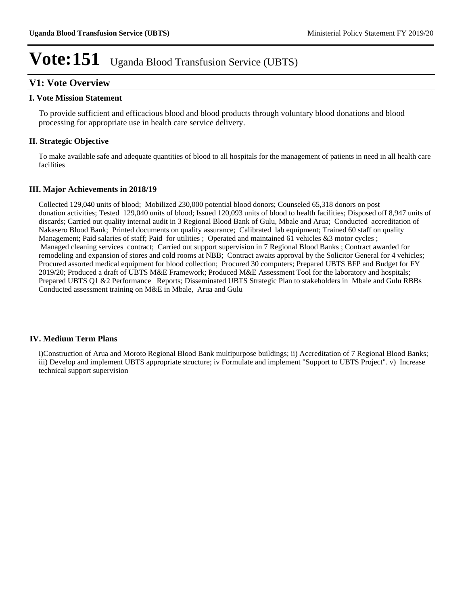## **V1: Vote Overview**

#### **I. Vote Mission Statement**

To provide sufficient and efficacious blood and blood products through voluntary blood donations and blood processing for appropriate use in health care service delivery.

## **II. Strategic Objective**

To make available safe and adequate quantities of blood to all hospitals for the management of patients in need in all health care facilities

## **III. Major Achievements in 2018/19**

Collected 129,040 units of blood; Mobilized 230,000 potential blood donors; Counseled 65,318 donors on post donation activities; Tested 129,040 units of blood; Issued 120,093 units of blood to health facilities; Disposed off 8,947 units of discards; Carried out quality internal audit in 3 Regional Blood Bank of Gulu, Mbale and Arua; Conducted accreditation of Nakasero Blood Bank; Printed documents on quality assurance; Calibrated lab equipment; Trained 60 staff on quality Management; Paid salaries of staff; Paid for utilities ; Operated and maintained 61 vehicles &3 motor cycles ; Managed cleaning services contract; Carried out support supervision in 7 Regional Blood Banks ; Contract awarded for remodeling and expansion of stores and cold rooms at NBB; Contract awaits approval by the Solicitor General for 4 vehicles; Procured assorted medical equipment for blood collection; Procured 30 computers; Prepared UBTS BFP and Budget for FY 2019/20; Produced a draft of UBTS M&E Framework; Produced M&E Assessment Tool for the laboratory and hospitals; Prepared UBTS Q1 &2 Performance Reports; Disseminated UBTS Strategic Plan to stakeholders in Mbale and Gulu RBBs Conducted assessment training on M&E in Mbale, Arua and Gulu

## **IV. Medium Term Plans**

i)Construction of Arua and Moroto Regional Blood Bank multipurpose buildings; ii) Accreditation of 7 Regional Blood Banks; iii) Develop and implement UBTS appropriate structure; iv Formulate and implement "Support to UBTS Project". v) Increase technical support supervision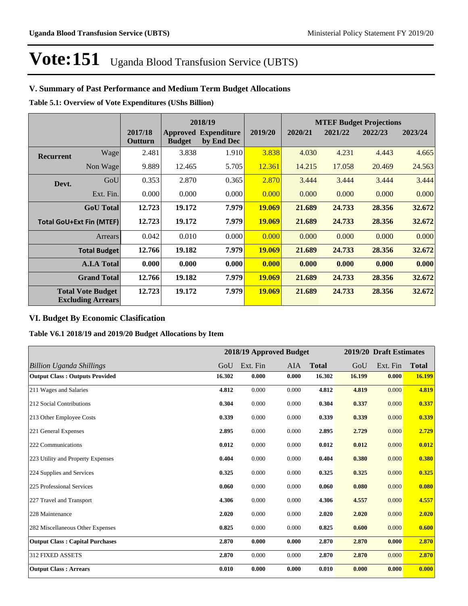## **V. Summary of Past Performance and Medium Term Budget Allocations**

**Table 5.1: Overview of Vote Expenditures (UShs Billion)**

| 2018/19          |                                                      |                    |               | <b>MTEF Budget Projections</b>            |               |         |         |         |         |
|------------------|------------------------------------------------------|--------------------|---------------|-------------------------------------------|---------------|---------|---------|---------|---------|
|                  |                                                      | 2017/18<br>Outturn | <b>Budget</b> | <b>Approved Expenditure</b><br>by End Dec | 2019/20       | 2020/21 | 2021/22 | 2022/23 | 2023/24 |
| <b>Recurrent</b> | Wage                                                 | 2.481              | 3.838         | 1.910                                     | 3.838         | 4.030   | 4.231   | 4.443   | 4.665   |
|                  | Non Wage                                             | 9.889              | 12.465        | 5.705                                     | 12.361        | 14.215  | 17.058  | 20.469  | 24.563  |
| Devt.            | GoU                                                  | 0.353              | 2.870         | 0.365                                     | 2.870         | 3.444   | 3.444   | 3.444   | 3.444   |
|                  | Ext. Fin.                                            | 0.000              | 0.000         | 0.000                                     | 0.000         | 0.000   | 0.000   | 0.000   | 0.000   |
|                  | <b>GoU</b> Total                                     | 12.723             | 19.172        | 7.979                                     | 19.069        | 21.689  | 24.733  | 28.356  | 32.672  |
|                  | <b>Total GoU+Ext Fin (MTEF)</b>                      | 12.723             | 19.172        | 7.979                                     | 19.069        | 21.689  | 24.733  | 28.356  | 32.672  |
|                  | Arrears                                              | 0.042              | 0.010         | 0.000                                     | 0.000         | 0.000   | 0.000   | 0.000   | 0.000   |
|                  | <b>Total Budget</b>                                  | 12.766             | 19.182        | 7.979                                     | <b>19.069</b> | 21.689  | 24.733  | 28.356  | 32.672  |
|                  | <b>A.I.A Total</b>                                   | 0.000              | 0.000         | 0.000                                     | 0.000         | 0.000   | 0.000   | 0.000   | 0.000   |
|                  | <b>Grand Total</b>                                   | 12.766             | 19.182        | 7.979                                     | 19.069        | 21.689  | 24.733  | 28.356  | 32.672  |
|                  | <b>Total Vote Budget</b><br><b>Excluding Arrears</b> | 12.723             | 19.172        | 7.979                                     | 19.069        | 21.689  | 24.733  | 28.356  | 32.672  |

## **VI. Budget By Economic Clasification**

**Table V6.1 2018/19 and 2019/20 Budget Allocations by Item**

|                                        |        | 2018/19 Approved Budget |       |              |        | 2019/20 Draft Estimates |              |
|----------------------------------------|--------|-------------------------|-------|--------------|--------|-------------------------|--------------|
| Billion Uganda Shillings               | GoU    | Ext. Fin                | AIA   | <b>Total</b> | GoU    | Ext. Fin                | <b>Total</b> |
| <b>Output Class: Outputs Provided</b>  | 16.302 | 0.000                   | 0.000 | 16.302       | 16.199 | 0.000                   | 16.199       |
| 211 Wages and Salaries                 | 4.812  | 0.000                   | 0.000 | 4.812        | 4.819  | 0.000                   | 4.819        |
| 212 Social Contributions               | 0.304  | 0.000                   | 0.000 | 0.304        | 0.337  | 0.000                   | 0.337        |
| 213 Other Employee Costs               | 0.339  | 0.000                   | 0.000 | 0.339        | 0.339  | 0.000                   | 0.339        |
| 221 General Expenses                   | 2.895  | 0.000                   | 0.000 | 2.895        | 2.729  | 0.000                   | 2.729        |
| 222 Communications                     | 0.012  | 0.000                   | 0.000 | 0.012        | 0.012  | 0.000                   | 0.012        |
| 223 Utility and Property Expenses      | 0.404  | 0.000                   | 0.000 | 0.404        | 0.380  | 0.000                   | 0.380        |
| 224 Supplies and Services              | 0.325  | 0.000                   | 0.000 | 0.325        | 0.325  | 0.000                   | 0.325        |
| 225 Professional Services              | 0.060  | 0.000                   | 0.000 | 0.060        | 0.080  | 0.000                   | 0.080        |
| 227 Travel and Transport               | 4.306  | 0.000                   | 0.000 | 4.306        | 4.557  | 0.000                   | 4.557        |
| 228 Maintenance                        | 2.020  | 0.000                   | 0.000 | 2.020        | 2.020  | 0.000                   | 2.020        |
| 282 Miscellaneous Other Expenses       | 0.825  | 0.000                   | 0.000 | 0.825        | 0.600  | 0.000                   | 0.600        |
| <b>Output Class: Capital Purchases</b> | 2.870  | 0.000                   | 0.000 | 2.870        | 2.870  | 0.000                   | 2.870        |
| 312 FIXED ASSETS                       | 2.870  | 0.000                   | 0.000 | 2.870        | 2.870  | 0.000                   | 2.870        |
| <b>Output Class: Arrears</b>           | 0.010  | 0.000                   | 0.000 | 0.010        | 0.000  | 0.000                   | 0.000        |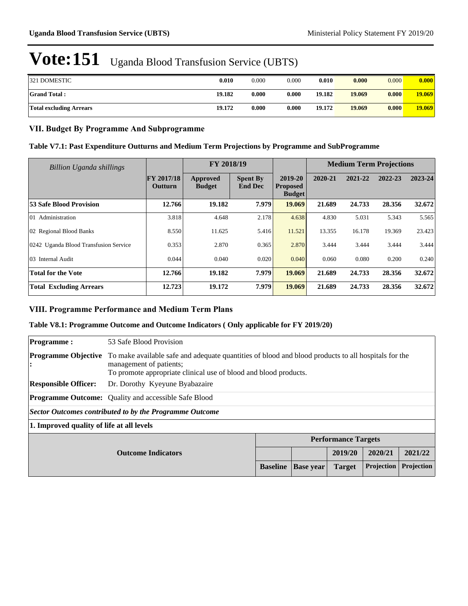| 321 DOMESTIC            | 0.010  | 0.000 | 0.000 | 0.010  | 0.000  | 0.000 | 0.000  |
|-------------------------|--------|-------|-------|--------|--------|-------|--------|
| <b>Grand Total:</b>     | 19.182 | 0.000 | 0.000 | 19.182 | 19.069 | 0.000 | 19.069 |
| Total excluding Arrears | 19.172 | 0.000 | 0.000 | 19.172 | 19.069 | 0.000 | 19.069 |

## **VII. Budget By Programme And Subprogramme**

#### **Table V7.1: Past Expenditure Outturns and Medium Term Projections by Programme and SubProgramme**

| <b>Billion Uganda shillings</b>       |                                     | FY 2018/19                |                                   |                                             | <b>Medium Term Projections</b> |         |         |         |
|---------------------------------------|-------------------------------------|---------------------------|-----------------------------------|---------------------------------------------|--------------------------------|---------|---------|---------|
|                                       | <b>FY 2017/18</b><br><b>Outturn</b> | Approved<br><b>Budget</b> | <b>Spent By</b><br><b>End Dec</b> | 2019-20<br><b>Proposed</b><br><b>Budget</b> | 2020-21                        | 2021-22 | 2022-23 | 2023-24 |
| 53 Safe Blood Provision               | 12.766                              | 19.182                    | 7.979                             | 19.069                                      | 21.689                         | 24.733  | 28.356  | 32.672  |
| 01 Administration                     | 3.818                               | 4.648                     | 2.178                             | 4.638                                       | 4.830                          | 5.031   | 5.343   | 5.565   |
| 02 Regional Blood Banks               | 8.550                               | 11.625                    | 5.416                             | 11.521                                      | 13.355                         | 16.178  | 19.369  | 23.423  |
| 0242 Uganda Blood Transfusion Service | 0.353                               | 2.870                     | 0.365                             | 2.870                                       | 3.444                          | 3.444   | 3.444   | 3.444   |
| 03 Internal Audit                     | 0.044                               | 0.040                     | 0.020                             | 0.040                                       | 0.060                          | 0.080   | 0.200   | 0.240   |
| <b>Total for the Vote</b>             | 12.766                              | 19.182                    | 7.979                             | 19.069                                      | 21.689                         | 24.733  | 28.356  | 32.672  |
| <b>Total Excluding Arrears</b>        | 12.723                              | 19.172                    | 7.979                             | 19.069                                      | 21.689                         | 24.733  | 28.356  | 32.672  |

## **VIII. Programme Performance and Medium Term Plans**

#### **Table V8.1: Programme Outcome and Outcome Indicators ( Only applicable for FY 2019/20)**

| <b>Programme:</b>                                          | 53 Safe Blood Provision                                                                                                                                                                            |                                                                                  |  |  |  |  |  |  |
|------------------------------------------------------------|----------------------------------------------------------------------------------------------------------------------------------------------------------------------------------------------------|----------------------------------------------------------------------------------|--|--|--|--|--|--|
| <b>Programme Objective</b><br>۱÷                           | To make available safe and adequate quantities of blood and blood products to all hospitals for the<br>management of patients;<br>To promote appropriate clinical use of blood and blood products. |                                                                                  |  |  |  |  |  |  |
| <b>Responsible Officer:</b>                                | Dr. Dorothy Kyeyune Byabazaire                                                                                                                                                                     |                                                                                  |  |  |  |  |  |  |
|                                                            | <b>Programme Outcome:</b> Quality and accessible Safe Blood                                                                                                                                        |                                                                                  |  |  |  |  |  |  |
|                                                            | Sector Outcomes contributed to by the Programme Outcome                                                                                                                                            |                                                                                  |  |  |  |  |  |  |
| 1. Improved quality of life at all levels                  |                                                                                                                                                                                                    |                                                                                  |  |  |  |  |  |  |
|                                                            |                                                                                                                                                                                                    | <b>Performance Targets</b>                                                       |  |  |  |  |  |  |
| 2019/20<br>2020/21<br>2021/22<br><b>Outcome Indicators</b> |                                                                                                                                                                                                    |                                                                                  |  |  |  |  |  |  |
|                                                            |                                                                                                                                                                                                    | Projection<br>Projection<br><b>Baseline</b><br><b>Base vear</b><br><b>Target</b> |  |  |  |  |  |  |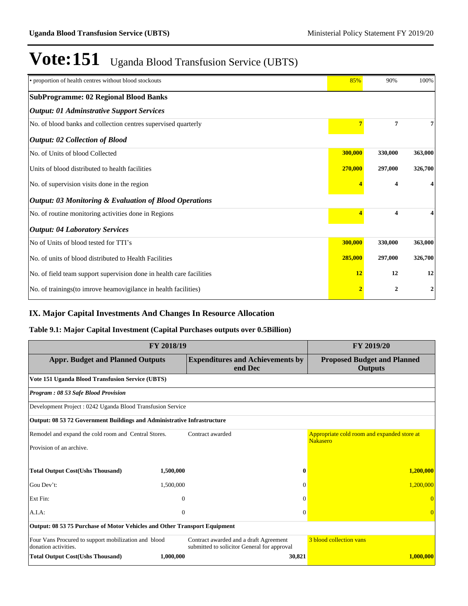| • proportion of health centres without blood stockouts               | 85%     | 90%     | 100%    |
|----------------------------------------------------------------------|---------|---------|---------|
| <b>SubProgramme: 02 Regional Blood Banks</b>                         |         |         |         |
| <b>Output: 01 Adminstrative Support Services</b>                     |         |         |         |
| No. of blood banks and collection centres supervised quarterly       |         | 7       | 7       |
| <b>Output: 02 Collection of Blood</b>                                |         |         |         |
| No. of Units of blood Collected                                      | 300,000 | 330,000 | 363,000 |
| Units of blood distributed to health facilities                      | 270,000 | 297,000 | 326,700 |
| No. of supervision visits done in the region                         |         | 4       |         |
| <b>Output: 03 Monitoring &amp; Evaluation of Blood Operations</b>    |         |         |         |
| No. of routine monitoring activities done in Regions                 |         | 4       | 4       |
| <b>Output: 04 Laboratory Services</b>                                |         |         |         |
| No of Units of blood tested for TTI's                                | 300,000 | 330,000 | 363,000 |
| No. of units of blood distributed to Health Facilities               | 285,000 | 297,000 | 326,700 |
| No. of field team support supervision done in health care facilities | 12      | 12      | 12      |
| No. of trainings(to imrove heamovigilance in health facilities)      |         | 2       | 2       |

## **IX. Major Capital Investments And Changes In Resource Allocation**

## **Table 9.1: Major Capital Investment (Capital Purchases outputs over 0.5Billion)**

|                                                                              | FY 2019/20                                           |                                                                                       |                                                                |
|------------------------------------------------------------------------------|------------------------------------------------------|---------------------------------------------------------------------------------------|----------------------------------------------------------------|
| <b>Appr. Budget and Planned Outputs</b>                                      | <b>Proposed Budget and Planned</b><br><b>Outputs</b> |                                                                                       |                                                                |
| Vote 151 Uganda Blood Transfusion Service (UBTS)                             |                                                      |                                                                                       |                                                                |
| Program: 08 53 Safe Blood Provision                                          |                                                      |                                                                                       |                                                                |
| Development Project: 0242 Uganda Blood Transfusion Service                   |                                                      |                                                                                       |                                                                |
| Output: 08 53 72 Government Buildings and Administrative Infrastructure      |                                                      |                                                                                       |                                                                |
| Remodel and expand the cold room and Central Stores.                         |                                                      | Contract awarded                                                                      | Appropriate cold room and expanded store at<br><b>Nakasero</b> |
| Provision of an archive.                                                     |                                                      |                                                                                       |                                                                |
| <b>Total Output Cost(Ushs Thousand)</b>                                      | 1,500,000                                            | 0                                                                                     | 1,200,000                                                      |
| Gou Dev't:                                                                   | 1,500,000                                            | $\Omega$                                                                              | 1,200,000                                                      |
| Ext Fin:                                                                     | $\overline{0}$                                       | $\Omega$                                                                              |                                                                |
| A.I.A.                                                                       | $\overline{0}$                                       | $\Omega$                                                                              | $\Omega$                                                       |
| Output: 08 53 75 Purchase of Motor Vehicles and Other Transport Equipment    |                                                      |                                                                                       |                                                                |
| Four Vans Procured to support mobilization and blood<br>donation activities. |                                                      | Contract awarded and a draft Agreement<br>submitted to solicitor General for approval | 3 blood collection vans                                        |
| <b>Total Output Cost(Ushs Thousand)</b>                                      | 1,000,000                                            | 30,821                                                                                | 1,000,000                                                      |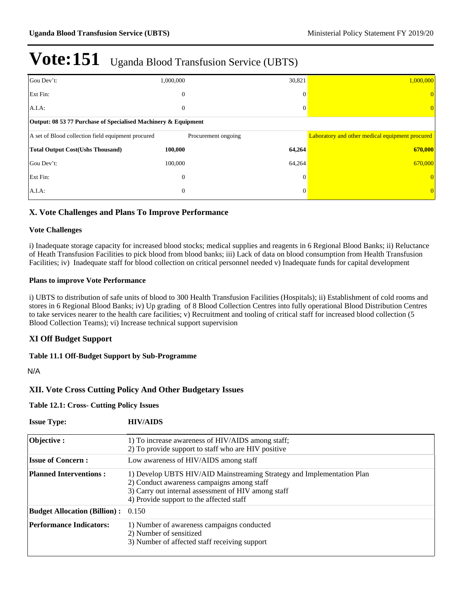| Gou Dev't:                                                     | 1,000,000           | 30,821       | 1,000,000                                       |  |  |  |  |  |  |
|----------------------------------------------------------------|---------------------|--------------|-------------------------------------------------|--|--|--|--|--|--|
| Ext Fin:                                                       | $\mathbf{0}$        | $\theta$     |                                                 |  |  |  |  |  |  |
| $A.I.A$ :                                                      | $\boldsymbol{0}$    | $\Omega$     | $\theta$                                        |  |  |  |  |  |  |
| Output: 08 53 77 Purchase of Specialised Machinery & Equipment |                     |              |                                                 |  |  |  |  |  |  |
| A set of Blood collection field equipment procured             | Procurement ongoing |              | Laboratory and other medical equipment procured |  |  |  |  |  |  |
| <b>Total Output Cost(Ushs Thousand)</b>                        | 100,000             | 64,264       | 670,000                                         |  |  |  |  |  |  |
| Gou Dev't:                                                     | 100,000             | 64,264       | 670,000                                         |  |  |  |  |  |  |
| Ext Fin:                                                       | $\theta$            | $\mathbf{0}$ |                                                 |  |  |  |  |  |  |
| $A.I.A$ :                                                      | $\mathbf{0}$        | $\Omega$     | $\overline{0}$                                  |  |  |  |  |  |  |

## **X. Vote Challenges and Plans To Improve Performance**

#### **Vote Challenges**

i) Inadequate storage capacity for increased blood stocks; medical supplies and reagents in 6 Regional Blood Banks; ii) Reluctance of Heath Transfusion Facilities to pick blood from blood banks; iii) Lack of data on blood consumption from Health Transfusion Facilities; iv) Inadequate staff for blood collection on critical personnel needed v) Inadequate funds for capital development

#### **Plans to improve Vote Performance**

i) UBTS to distribution of safe units of blood to 300 Health Transfusion Facilities (Hospitals); ii) Establishment of cold rooms and stores in 6 Regional Blood Banks; iv) Up grading of 8 Blood Collection Centres into fully operational Blood Distribution Centres to take services nearer to the health care facilities; v) Recruitment and tooling of critical staff for increased blood collection (5 Blood Collection Teams); vi) Increase technical support supervision

## **XI Off Budget Support**

## **Table 11.1 Off-Budget Support by Sub-Programme**

N/A

## **XII. Vote Cross Cutting Policy And Other Budgetary Issues**

**Table 12.1: Cross- Cutting Policy Issues**

| <b>Issue Type:</b>                  | <b>HIV/AIDS</b>                                                                                                                                                                                                         |
|-------------------------------------|-------------------------------------------------------------------------------------------------------------------------------------------------------------------------------------------------------------------------|
| Objective:                          | 1) To increase awareness of HIV/AIDS among staff;<br>2) To provide support to staff who are HIV positive                                                                                                                |
| <b>Issue of Concern:</b>            | Low awareness of HIV/AIDS among staff                                                                                                                                                                                   |
| <b>Planned Interventions:</b>       | 1) Develop UBTS HIV/AID Mainstreaming Strategy and Implementation Plan<br>2) Conduct awareness campaigns among staff<br>3) Carry out internal assessment of HIV among staff<br>4) Provide support to the affected staff |
| <b>Budget Allocation (Billion):</b> | 0.150                                                                                                                                                                                                                   |
| <b>Performance Indicators:</b>      | 1) Number of awareness campaigns conducted<br>2) Number of sensitized<br>3) Number of affected staff receiving support                                                                                                  |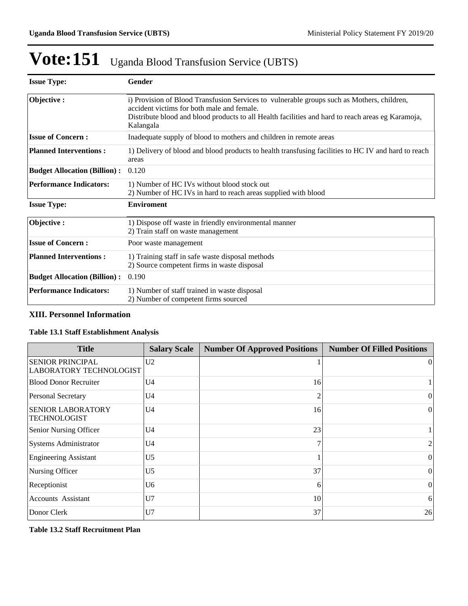| <b>Issue Type:</b>                  | Gender                                                                                                                                                                                                                                                     |
|-------------------------------------|------------------------------------------------------------------------------------------------------------------------------------------------------------------------------------------------------------------------------------------------------------|
| Objective:                          | i) Provision of Blood Transfusion Services to vulnerable groups such as Mothers, children,<br>accident victims for both male and female.<br>Distribute blood and blood products to all Health facilities and hard to reach areas eg Karamoja,<br>Kalangala |
| <b>Issue of Concern:</b>            | Inadequate supply of blood to mothers and children in remote areas                                                                                                                                                                                         |
| <b>Planned Interventions:</b>       | 1) Delivery of blood and blood products to health transfusing facilities to HC IV and hard to reach<br>areas                                                                                                                                               |
| <b>Budget Allocation (Billion):</b> | 0.120                                                                                                                                                                                                                                                      |
| <b>Performance Indicators:</b>      | 1) Number of HC IVs without blood stock out<br>2) Number of HC IVs in hard to reach areas supplied with blood                                                                                                                                              |
| <b>Issue Type:</b>                  | <b>Enviroment</b>                                                                                                                                                                                                                                          |
| Objective:                          | 1) Dispose off waste in friendly environmental manner<br>2) Train staff on waste management                                                                                                                                                                |
| <b>Issue of Concern:</b>            | Poor waste management                                                                                                                                                                                                                                      |
| <b>Planned Interventions:</b>       | 1) Training staff in safe waste disposal methods<br>2) Source competent firms in waste disposal                                                                                                                                                            |
| <b>Budget Allocation (Billion):</b> | 0.190                                                                                                                                                                                                                                                      |
| <b>Performance Indicators:</b>      | 1) Number of staff trained in waste disposal<br>2) Number of competent firms sourced                                                                                                                                                                       |

## **XIII. Personnel Information**

## **Table 13.1 Staff Establishment Analysis**

| <b>Title</b>                                              | <b>Salary Scale</b> | <b>Number Of Approved Positions</b> | <b>Number Of Filled Positions</b> |
|-----------------------------------------------------------|---------------------|-------------------------------------|-----------------------------------|
| <b>SENIOR PRINCIPAL</b><br><b>LABORATORY TECHNOLOGIST</b> | U <sub>2</sub>      |                                     | $\vert$ 0                         |
| <b>Blood Donor Recruiter</b>                              | U <sub>4</sub>      | 16                                  |                                   |
| <b>Personal Secretary</b>                                 | U <sub>4</sub>      | 2                                   | $\Omega$                          |
| <b>SENIOR LABORATORY</b><br>TECHNOLOGIST                  | U <sub>4</sub>      | 16                                  | $\theta$                          |
| Senior Nursing Officer                                    | U <sub>4</sub>      | 23                                  |                                   |
| <b>Systems Administrator</b>                              | U <sub>4</sub>      | 7                                   | $\overline{c}$                    |
| <b>Engineering Assistant</b>                              | U <sub>5</sub>      |                                     | $\Omega$                          |
| Nursing Officer                                           | U <sub>5</sub>      | 37                                  | $\Omega$                          |
| Receptionist                                              | U <sub>6</sub>      | 6                                   | $\theta$                          |
| <b>Accounts Assistant</b>                                 | U7                  | 10                                  | 6                                 |
| Donor Clerk                                               | U7                  | 37                                  | 26                                |

**Table 13.2 Staff Recruitment Plan**